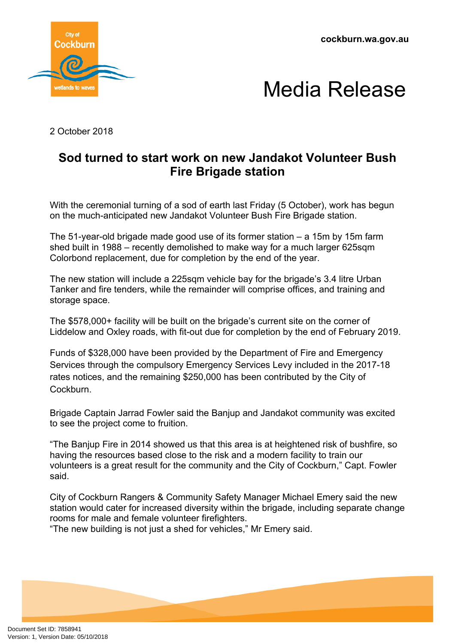**cockburn.wa.gov.au**





2 October 2018

## **Sod turned to start work on new Jandakot Volunteer Bush Fire Brigade station**

With the ceremonial turning of a sod of earth last Friday (5 October), work has begun on the much-anticipated new Jandakot Volunteer Bush Fire Brigade station.

The 51-year-old brigade made good use of its former station – a 15m by 15m farm shed built in 1988 – recently demolished to make way for a much larger 625sqm Colorbond replacement, due for completion by the end of the year.

The new station will include a 225sqm vehicle bay for the brigade's 3.4 litre Urban Tanker and fire tenders, while the remainder will comprise offices, and training and storage space.

The \$578,000+ facility will be built on the brigade's current site on the corner of Liddelow and Oxley roads, with fit-out due for completion by the end of February 2019.

Funds of \$328,000 have been provided by the Department of Fire and Emergency Services through the compulsory Emergency Services Levy included in the 2017-18 rates notices, and the remaining \$250,000 has been contributed by the City of **Cockburn** 

Brigade Captain Jarrad Fowler said the Banjup and Jandakot community was excited to see the project come to fruition.

"The Banjup Fire in 2014 showed us that this area is at heightened risk of bushfire, so having the resources based close to the risk and a modern facility to train our volunteers is a great result for the community and the City of Cockburn," Capt. Fowler said.

City of Cockburn Rangers & Community Safety Manager Michael Emery said the new station would cater for increased diversity within the brigade, including separate change rooms for male and female volunteer firefighters.

"The new building is not just a shed for vehicles," Mr Emery said.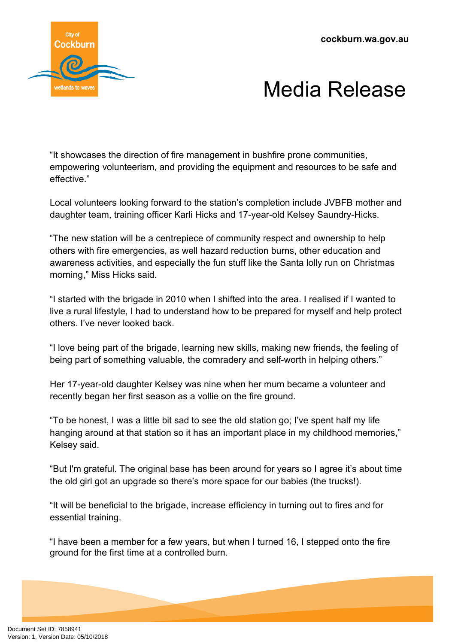**cockburn.wa.gov.au**



## Media Release

"It showcases the direction of fire management in bushfire prone communities, empowering volunteerism, and providing the equipment and resources to be safe and effective."

Local volunteers looking forward to the station's completion include JVBFB mother and daughter team, training officer Karli Hicks and 17-year-old Kelsey Saundry-Hicks.

"The new station will be a centrepiece of community respect and ownership to help others with fire emergencies, as well hazard reduction burns, other education and awareness activities, and especially the fun stuff like the Santa lolly run on Christmas morning," Miss Hicks said.

"I started with the brigade in 2010 when I shifted into the area. I realised if I wanted to live a rural lifestyle, I had to understand how to be prepared for myself and help protect others. I've never looked back.

"I love being part of the brigade, learning new skills, making new friends, the feeling of being part of something valuable, the comradery and self-worth in helping others."

Her 17-year-old daughter Kelsey was nine when her mum became a volunteer and recently began her first season as a vollie on the fire ground.

"To be honest, I was a little bit sad to see the old station go; I've spent half my life hanging around at that station so it has an important place in my childhood memories," Kelsey said.

"But I'm grateful. The original base has been around for years so I agree it's about time the old girl got an upgrade so there's more space for our babies (the trucks!).

"It will be beneficial to the brigade, increase efficiency in turning out to fires and for essential training.

"I have been a member for a few years, but when I turned 16, I stepped onto the fire ground for the first time at a controlled burn.